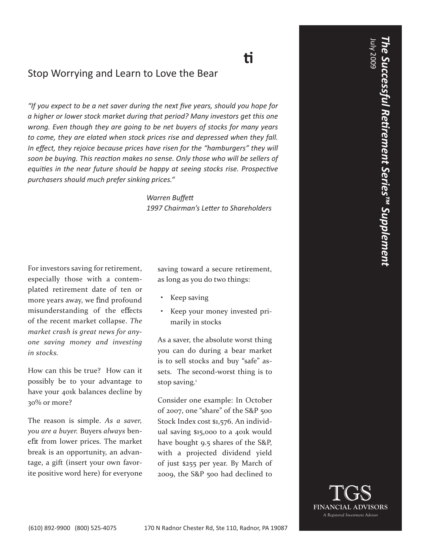## **Misunderstanding Market Volati lity** Stop Worrying and Learn to Love the Bear

"If you expect to be a net saver during the next five years, should you hope for *a higher or lower stock market during that period? Many investors get this one wrong. Even though they are going to be net buyers of stocks for many years to come, they are elated when stock prices rise and depressed when they fall.*  In effect, they rejoice because prices have risen for the "hamburgers" they will *soon be buying. This reacti on makes no sense. Only those who will be sellers of equities in the near future should be happy at seeing stocks rise. Prospective purchasers should much prefer sinking prices."*

> **Warren Buffett** 1997 Chairman's Letter to Shareholders

For investors saving for retirement, especially those with a contemplated retirement date of ten or more years away, we find profound misunderstanding of the e ects of the recent market collapse. *The market crash is great news for anyone saving money and investing in stocks.*

How can this be true? How can it possibly be to your advantage to have your 401k balances decline by 30% or more?

The reason is simple. *As a saver, you are a buyer.* Buyers *always* benefit from lower prices. The market break is an opportunity, an advantage, a gift (insert your own favorite positive word here) for everyone saving toward a secure retirement, as long as you do two things:

- Keep saving
- Keep your money invested primarily in stocks

As a saver, the absolute worst thing you can do during a bear market is to sell stocks and buy "safe" assets. The second-worst thing is to stop saving. $1$ 

Consider one example: In October of 2007, one "share" of the S&P 500 Stock Index cost \$1,576. An individual saving \$15,000 to a 401k would have bought 9.5 shares of the S&P, with a projected dividend yield of just \$255 per year. By March of 2009, the S&P 500 had declined to